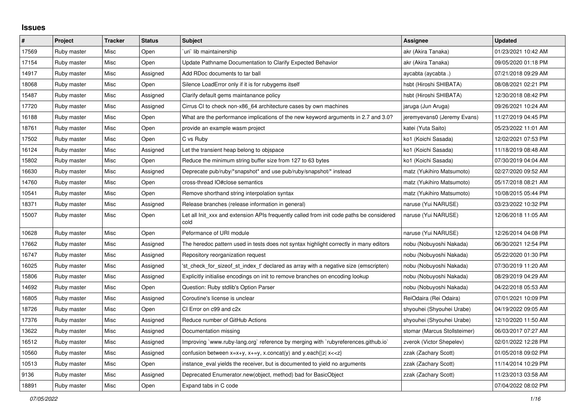## **Issues**

| $\vert$ # | Project     | <b>Tracker</b> | <b>Status</b> | <b>Subject</b>                                                                                   | Assignee                     | <b>Updated</b>      |
|-----------|-------------|----------------|---------------|--------------------------------------------------------------------------------------------------|------------------------------|---------------------|
| 17569     | Ruby master | Misc           | Open          | uri lib maintainership                                                                           | akr (Akira Tanaka)           | 01/23/2021 10:42 AM |
| 17154     | Ruby master | Misc           | Open          | Update Pathname Documentation to Clarify Expected Behavior                                       | akr (Akira Tanaka)           | 09/05/2020 01:18 PM |
| 14917     | Ruby master | Misc           | Assigned      | Add RDoc documents to tar ball                                                                   | aycabta (aycabta .)          | 07/21/2018 09:29 AM |
| 18068     | Ruby master | Misc           | Open          | Silence LoadError only if it is for rubygems itself                                              | hsbt (Hiroshi SHIBATA)       | 08/08/2021 02:21 PM |
| 15487     | Ruby master | Misc           | Assigned      | Clarify default gems maintanance policy                                                          | hsbt (Hiroshi SHIBATA)       | 12/30/2018 08:42 PM |
| 17720     | Ruby master | Misc           | Assigned      | Cirrus CI to check non-x86 64 architecture cases by own machines                                 | jaruga (Jun Aruga)           | 09/26/2021 10:24 AM |
| 16188     | Ruby master | Misc           | Open          | What are the performance implications of the new keyword arguments in 2.7 and 3.0?               | jeremyevans0 (Jeremy Evans)  | 11/27/2019 04:45 PM |
| 18761     | Ruby master | Misc           | Open          | provide an example wasm project                                                                  | katei (Yuta Saito)           | 05/23/2022 11:01 AM |
| 17502     | Ruby master | Misc           | Open          | C vs Ruby                                                                                        | ko1 (Koichi Sasada)          | 12/02/2021 07:53 PM |
| 16124     | Ruby master | Misc           | Assigned      | Let the transient heap belong to objspace                                                        | ko1 (Koichi Sasada)          | 11/18/2019 08:48 AM |
| 15802     | Ruby master | Misc           | Open          | Reduce the minimum string buffer size from 127 to 63 bytes                                       | ko1 (Koichi Sasada)          | 07/30/2019 04:04 AM |
| 16630     | Ruby master | Misc           | Assigned      | Deprecate pub/ruby/*snapshot* and use pub/ruby/snapshot/* instead                                | matz (Yukihiro Matsumoto)    | 02/27/2020 09:52 AM |
| 14760     | Ruby master | Misc           | Open          | cross-thread IO#close semantics                                                                  | matz (Yukihiro Matsumoto)    | 05/17/2018 08:21 AM |
| 10541     | Ruby master | Misc           | Open          | Remove shorthand string interpolation syntax                                                     | matz (Yukihiro Matsumoto)    | 10/08/2015 05:44 PM |
| 18371     | Ruby master | Misc           | Assigned      | Release branches (release information in general)                                                | naruse (Yui NARUSE)          | 03/23/2022 10:32 PM |
| 15007     | Ruby master | Misc           | Open          | Let all Init_xxx and extension APIs frequently called from init code paths be considered<br>cold | naruse (Yui NARUSE)          | 12/06/2018 11:05 AM |
| 10628     | Ruby master | Misc           | Open          | Peformance of URI module                                                                         | naruse (Yui NARUSE)          | 12/26/2014 04:08 PM |
| 17662     | Ruby master | Misc           | Assigned      | The heredoc pattern used in tests does not syntax highlight correctly in many editors            | nobu (Nobuyoshi Nakada)      | 06/30/2021 12:54 PM |
| 16747     | Ruby master | Misc           | Assigned      | Repository reorganization request                                                                | nobu (Nobuyoshi Nakada)      | 05/22/2020 01:30 PM |
| 16025     | Ruby master | Misc           | Assigned      | 'st_check_for_sizeof_st_index_t' declared as array with a negative size (emscripten)             | nobu (Nobuyoshi Nakada)      | 07/30/2019 11:20 AM |
| 15806     | Ruby master | Misc           | Assigned      | Explicitly initialise encodings on init to remove branches on encoding lookup                    | nobu (Nobuyoshi Nakada)      | 08/29/2019 04:29 AM |
| 14692     | Ruby master | Misc           | Open          | Question: Ruby stdlib's Option Parser                                                            | nobu (Nobuyoshi Nakada)      | 04/22/2018 05:53 AM |
| 16805     | Ruby master | Misc           | Assigned      | Coroutine's license is unclear                                                                   | ReiOdaira (Rei Odaira)       | 07/01/2021 10:09 PM |
| 18726     | Ruby master | Misc           | Open          | CI Error on c99 and c2x                                                                          | shyouhei (Shyouhei Urabe)    | 04/19/2022 09:05 AM |
| 17376     | Ruby master | Misc           | Assigned      | Reduce number of GitHub Actions                                                                  | shyouhei (Shyouhei Urabe)    | 12/10/2020 11:50 AM |
| 13622     | Ruby master | Misc           | Assigned      | Documentation missing                                                                            | stomar (Marcus Stollsteimer) | 06/03/2017 07:27 AM |
| 16512     | Ruby master | Misc           | Assigned      | Improving `www.ruby-lang.org` reference by merging with `rubyreferences.github.io`               | zverok (Victor Shepelev)     | 02/01/2022 12:28 PM |
| 10560     | Ruby master | Misc           | Assigned      | confusion between $x=x+y$ , $x+=y$ , x.concat(y) and y.each{ z  $x<}$                            | zzak (Zachary Scott)         | 01/05/2018 09:02 PM |
| 10513     | Ruby master | Misc           | Open          | instance eval yields the receiver, but is documented to yield no arguments                       | zzak (Zachary Scott)         | 11/14/2014 10:29 PM |
| 9136      | Ruby master | Misc           | Assigned      | Deprecated Enumerator.new(object, method) bad for BasicObject                                    | zzak (Zachary Scott)         | 11/23/2013 03:58 AM |
| 18891     | Ruby master | Misc           | Open          | Expand tabs in C code                                                                            |                              | 07/04/2022 08:02 PM |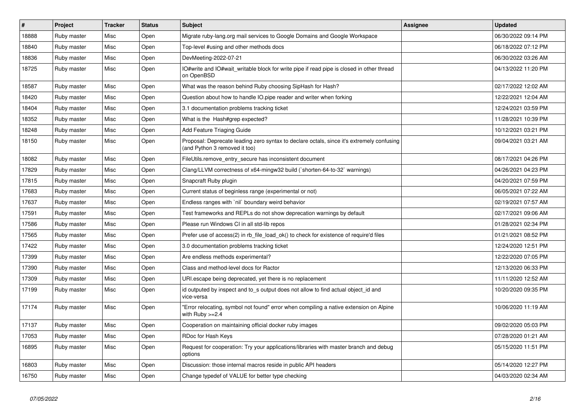| $\vert$ # | Project     | <b>Tracker</b> | <b>Status</b> | <b>Subject</b>                                                                                                             | Assignee | <b>Updated</b>      |
|-----------|-------------|----------------|---------------|----------------------------------------------------------------------------------------------------------------------------|----------|---------------------|
| 18888     | Ruby master | Misc           | Open          | Migrate ruby-lang.org mail services to Google Domains and Google Workspace                                                 |          | 06/30/2022 09:14 PM |
| 18840     | Ruby master | Misc           | Open          | Top-level #using and other methods docs                                                                                    |          | 06/18/2022 07:12 PM |
| 18836     | Ruby master | Misc           | Open          | DevMeeting-2022-07-21                                                                                                      |          | 06/30/2022 03:26 AM |
| 18725     | Ruby master | Misc           | Open          | IO#write and IO#wait_writable block for write pipe if read pipe is closed in other thread<br>on OpenBSD                    |          | 04/13/2022 11:20 PM |
| 18587     | Ruby master | Misc           | Open          | What was the reason behind Ruby choosing SipHash for Hash?                                                                 |          | 02/17/2022 12:02 AM |
| 18420     | Ruby master | Misc           | Open          | Question about how to handle IO.pipe reader and writer when forking                                                        |          | 12/22/2021 12:04 AM |
| 18404     | Ruby master | Misc           | Open          | 3.1 documentation problems tracking ticket                                                                                 |          | 12/24/2021 03:59 PM |
| 18352     | Ruby master | Misc           | Open          | What is the Hash#grep expected?                                                                                            |          | 11/28/2021 10:39 PM |
| 18248     | Ruby master | Misc           | Open          | Add Feature Triaging Guide                                                                                                 |          | 10/12/2021 03:21 PM |
| 18150     | Ruby master | Misc           | Open          | Proposal: Deprecate leading zero syntax to declare octals, since it's extremely confusing<br>(and Python 3 removed it too) |          | 09/04/2021 03:21 AM |
| 18082     | Ruby master | Misc           | Open          | FileUtils.remove entry secure has inconsistent document                                                                    |          | 08/17/2021 04:26 PM |
| 17829     | Ruby master | Misc           | Open          | Clang/LLVM correctness of x64-mingw32 build (`shorten-64-to-32` warnings)                                                  |          | 04/26/2021 04:23 PM |
| 17815     | Ruby master | Misc           | Open          | Snapcraft Ruby plugin                                                                                                      |          | 04/20/2021 07:59 PM |
| 17683     | Ruby master | Misc           | Open          | Current status of beginless range (experimental or not)                                                                    |          | 06/05/2021 07:22 AM |
| 17637     | Ruby master | Misc           | Open          | Endless ranges with `nil` boundary weird behavior                                                                          |          | 02/19/2021 07:57 AM |
| 17591     | Ruby master | Misc           | Open          | Test frameworks and REPLs do not show deprecation warnings by default                                                      |          | 02/17/2021 09:06 AM |
| 17586     | Ruby master | Misc           | Open          | Please run Windows CI in all std-lib repos                                                                                 |          | 01/28/2021 02:34 PM |
| 17565     | Ruby master | Misc           | Open          | Prefer use of access(2) in rb_file_load_ok() to check for existence of require'd files                                     |          | 01/21/2021 08:52 PM |
| 17422     | Ruby master | Misc           | Open          | 3.0 documentation problems tracking ticket                                                                                 |          | 12/24/2020 12:51 PM |
| 17399     | Ruby master | Misc           | Open          | Are endless methods experimental?                                                                                          |          | 12/22/2020 07:05 PM |
| 17390     | Ruby master | Misc           | Open          | Class and method-level docs for Ractor                                                                                     |          | 12/13/2020 06:33 PM |
| 17309     | Ruby master | Misc           | Open          | URI escape being deprecated, yet there is no replacement                                                                   |          | 11/11/2020 12:52 AM |
| 17199     | Ruby master | Misc           | Open          | id outputed by inspect and to s output does not allow to find actual object id and<br>vice-versa                           |          | 10/20/2020 09:35 PM |
| 17174     | Ruby master | Misc           | Open          | 'Error relocating, symbol not found" error when compiling a native extension on Alpine<br>with Ruby >=2.4                  |          | 10/06/2020 11:19 AM |
| 17137     | Ruby master | Misc           | Open          | Cooperation on maintaining official docker ruby images                                                                     |          | 09/02/2020 05:03 PM |
| 17053     | Ruby master | Misc           | Open          | RDoc for Hash Keys                                                                                                         |          | 07/28/2020 01:21 AM |
| 16895     | Ruby master | Misc           | Open          | Request for cooperation: Try your applications/libraries with master branch and debug<br>options                           |          | 05/15/2020 11:51 PM |
| 16803     | Ruby master | Misc           | Open          | Discussion: those internal macros reside in public API headers                                                             |          | 05/14/2020 12:27 PM |
| 16750     | Ruby master | Misc           | Open          | Change typedef of VALUE for better type checking                                                                           |          | 04/03/2020 02:34 AM |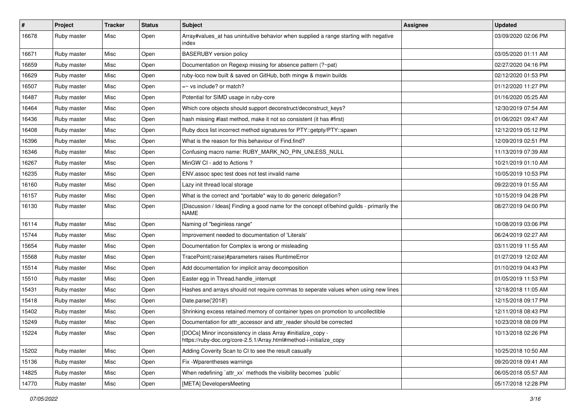| $\pmb{\#}$ | Project     | <b>Tracker</b> | <b>Status</b> | Subject                                                                                                                             | <b>Assignee</b> | <b>Updated</b>      |
|------------|-------------|----------------|---------------|-------------------------------------------------------------------------------------------------------------------------------------|-----------------|---------------------|
| 16678      | Ruby master | Misc           | Open          | Array#values_at has unintuitive behavior when supplied a range starting with negative<br>index                                      |                 | 03/09/2020 02:06 PM |
| 16671      | Ruby master | Misc           | Open          | <b>BASERUBY</b> version policy                                                                                                      |                 | 03/05/2020 01:11 AM |
| 16659      | Ruby master | Misc           | Open          | Documentation on Regexp missing for absence pattern (?~pat)                                                                         |                 | 02/27/2020 04:16 PM |
| 16629      | Ruby master | Misc           | Open          | ruby-loco now built & saved on GitHub, both mingw & mswin builds                                                                    |                 | 02/12/2020 01:53 PM |
| 16507      | Ruby master | Misc           | Open          | =~ vs include? or match?                                                                                                            |                 | 01/12/2020 11:27 PM |
| 16487      | Ruby master | Misc           | Open          | Potential for SIMD usage in ruby-core                                                                                               |                 | 01/16/2020 05:25 AM |
| 16464      | Ruby master | Misc           | Open          | Which core objects should support deconstruct/deconstruct_keys?                                                                     |                 | 12/30/2019 07:54 AM |
| 16436      | Ruby master | Misc           | Open          | hash missing #last method, make it not so consistent (it has #first)                                                                |                 | 01/06/2021 09:47 AM |
| 16408      | Ruby master | Misc           | Open          | Ruby docs list incorrect method signatures for PTY::getpty/PTY::spawn                                                               |                 | 12/12/2019 05:12 PM |
| 16396      | Ruby master | Misc           | Open          | What is the reason for this behaviour of Find.find?                                                                                 |                 | 12/09/2019 02:51 PM |
| 16346      | Ruby master | Misc           | Open          | Confusing macro name: RUBY_MARK_NO_PIN_UNLESS_NULL                                                                                  |                 | 11/13/2019 07:39 AM |
| 16267      | Ruby master | Misc           | Open          | MinGW CI - add to Actions ?                                                                                                         |                 | 10/21/2019 01:10 AM |
| 16235      | Ruby master | Misc           | Open          | ENV assoc spec test does not test invalid name                                                                                      |                 | 10/05/2019 10:53 PM |
| 16160      | Ruby master | Misc           | Open          | Lazy init thread local storage                                                                                                      |                 | 09/22/2019 01:55 AM |
| 16157      | Ruby master | Misc           | Open          | What is the correct and *portable* way to do generic delegation?                                                                    |                 | 10/15/2019 04:28 PM |
| 16130      | Ruby master | Misc           | Open          | [Discussion / Ideas] Finding a good name for the concept of/behind guilds - primarily the<br><b>NAME</b>                            |                 | 08/27/2019 04:00 PM |
| 16114      | Ruby master | Misc           | Open          | Naming of "beginless range"                                                                                                         |                 | 10/08/2019 03:06 PM |
| 15744      | Ruby master | Misc           | Open          | Improvement needed to documentation of 'Literals'                                                                                   |                 | 06/24/2019 02:27 AM |
| 15654      | Ruby master | Misc           | Open          | Documentation for Complex is wrong or misleading                                                                                    |                 | 03/11/2019 11:55 AM |
| 15568      | Ruby master | Misc           | Open          | TracePoint(:raise)#parameters raises RuntimeError                                                                                   |                 | 01/27/2019 12:02 AM |
| 15514      | Ruby master | Misc           | Open          | Add documentation for implicit array decomposition                                                                                  |                 | 01/10/2019 04:43 PM |
| 15510      | Ruby master | Misc           | Open          | Easter egg in Thread.handle_interrupt                                                                                               |                 | 01/05/2019 11:53 PM |
| 15431      | Ruby master | Misc           | Open          | Hashes and arrays should not require commas to seperate values when using new lines                                                 |                 | 12/18/2018 11:05 AM |
| 15418      | Ruby master | Misc           | Open          | Date.parse('2018')                                                                                                                  |                 | 12/15/2018 09:17 PM |
| 15402      | Ruby master | Misc           | Open          | Shrinking excess retained memory of container types on promotion to uncollectible                                                   |                 | 12/11/2018 08:43 PM |
| 15249      | Ruby master | Misc           | Open          | Documentation for attr_accessor and attr_reader should be corrected                                                                 |                 | 10/23/2018 08:09 PM |
| 15224      | Ruby master | Misc           | Open          | [DOCs] Minor inconsistency in class Array #initialize_copy -<br>https://ruby-doc.org/core-2.5.1/Array.html#method-i-initialize_copy |                 | 10/13/2018 02:26 PM |
| 15202      | Ruby master | Misc           | Open          | Adding Coverity Scan to CI to see the result casually                                                                               |                 | 10/25/2018 10:50 AM |
| 15136      | Ruby master | Misc           | Open          | Fix - Wparentheses warnings                                                                                                         |                 | 09/20/2018 09:41 AM |
| 14825      | Ruby master | Misc           | Open          | When redefining `attr_xx` methods the visibility becomes `public`                                                                   |                 | 06/05/2018 05:57 AM |
| 14770      | Ruby master | Misc           | Open          | [META] DevelopersMeeting                                                                                                            |                 | 05/17/2018 12:28 PM |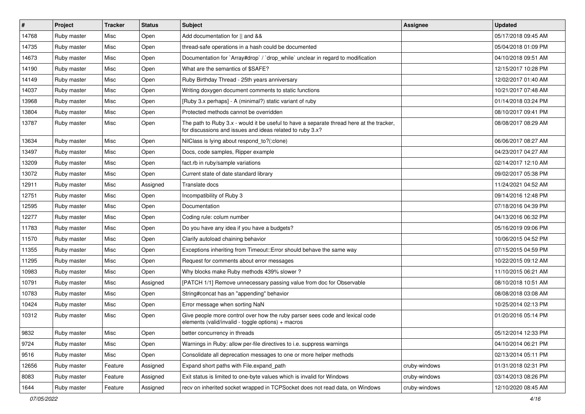| #     | Project     | <b>Tracker</b> | <b>Status</b> | <b>Subject</b>                                                                                                                                        | <b>Assignee</b> | <b>Updated</b>      |
|-------|-------------|----------------|---------------|-------------------------------------------------------------------------------------------------------------------------------------------------------|-----------------|---------------------|
| 14768 | Ruby master | Misc           | Open          | Add documentation for    and &&                                                                                                                       |                 | 05/17/2018 09:45 AM |
| 14735 | Ruby master | Misc           | Open          | thread-safe operations in a hash could be documented                                                                                                  |                 | 05/04/2018 01:09 PM |
| 14673 | Ruby master | Misc           | Open          | Documentation for `Array#drop` / `drop_while` unclear in regard to modification                                                                       |                 | 04/10/2018 09:51 AM |
| 14190 | Ruby master | Misc           | Open          | What are the semantics of \$SAFE?                                                                                                                     |                 | 12/15/2017 10:28 PM |
| 14149 | Ruby master | Misc           | Open          | Ruby Birthday Thread - 25th years anniversary                                                                                                         |                 | 12/02/2017 01:40 AM |
| 14037 | Ruby master | Misc           | Open          | Writing doxygen document comments to static functions                                                                                                 |                 | 10/21/2017 07:48 AM |
| 13968 | Ruby master | Misc           | Open          | [Ruby 3.x perhaps] - A (minimal?) static variant of ruby                                                                                              |                 | 01/14/2018 03:24 PM |
| 13804 | Ruby master | Misc           | Open          | Protected methods cannot be overridden                                                                                                                |                 | 08/10/2017 09:41 PM |
| 13787 | Ruby master | Misc           | Open          | The path to Ruby 3.x - would it be useful to have a separate thread here at the tracker,<br>for discussions and issues and ideas related to ruby 3.x? |                 | 08/08/2017 08:29 AM |
| 13634 | Ruby master | Misc           | Open          | NilClass is lying about respond_to?(:clone)                                                                                                           |                 | 06/06/2017 08:27 AM |
| 13497 | Ruby master | Misc           | Open          | Docs, code samples, Ripper example                                                                                                                    |                 | 04/23/2017 04:27 AM |
| 13209 | Ruby master | Misc           | Open          | fact.rb in ruby/sample variations                                                                                                                     |                 | 02/14/2017 12:10 AM |
| 13072 | Ruby master | Misc           | Open          | Current state of date standard library                                                                                                                |                 | 09/02/2017 05:38 PM |
| 12911 | Ruby master | Misc           | Assigned      | Translate docs                                                                                                                                        |                 | 11/24/2021 04:52 AM |
| 12751 | Ruby master | Misc           | Open          | Incompatibility of Ruby 3                                                                                                                             |                 | 09/14/2016 12:48 PM |
| 12595 | Ruby master | Misc           | Open          | Documentation                                                                                                                                         |                 | 07/18/2016 04:39 PM |
| 12277 | Ruby master | Misc           | Open          | Coding rule: colum number                                                                                                                             |                 | 04/13/2016 06:32 PM |
| 11783 | Ruby master | Misc           | Open          | Do you have any idea if you have a budgets?                                                                                                           |                 | 05/16/2019 09:06 PM |
| 11570 | Ruby master | Misc           | Open          | Clarify autoload chaining behavior                                                                                                                    |                 | 10/06/2015 04:52 PM |
| 11355 | Ruby master | Misc           | Open          | Exceptions inheriting from Timeout:: Error should behave the same way                                                                                 |                 | 07/15/2015 04:59 PM |
| 11295 | Ruby master | Misc           | Open          | Request for comments about error messages                                                                                                             |                 | 10/22/2015 09:12 AM |
| 10983 | Ruby master | Misc           | Open          | Why blocks make Ruby methods 439% slower?                                                                                                             |                 | 11/10/2015 06:21 AM |
| 10791 | Ruby master | Misc           | Assigned      | [PATCH 1/1] Remove unnecessary passing value from doc for Observable                                                                                  |                 | 08/10/2018 10:51 AM |
| 10783 | Ruby master | Misc           | Open          | String#concat has an "appending" behavior                                                                                                             |                 | 08/08/2018 03:08 AM |
| 10424 | Ruby master | Misc           | Open          | Error message when sorting NaN                                                                                                                        |                 | 10/25/2014 02:13 PM |
| 10312 | Ruby master | Misc           | Open          | Give people more control over how the ruby parser sees code and lexical code<br>elements (valid/invalid - toggle options) + macros                    |                 | 01/20/2016 05:14 PM |
| 9832  | Ruby master | Misc           | Open          | better concurrency in threads                                                                                                                         |                 | 05/12/2014 12:33 PM |
| 9724  | Ruby master | Misc           | Open          | Warnings in Ruby: allow per-file directives to i.e. suppress warnings                                                                                 |                 | 04/10/2014 06:21 PM |
| 9516  | Ruby master | Misc           | Open          | Consolidate all deprecation messages to one or more helper methods                                                                                    |                 | 02/13/2014 05:11 PM |
| 12656 | Ruby master | Feature        | Assigned      | Expand short paths with File.expand path                                                                                                              | cruby-windows   | 01/31/2018 02:31 PM |
| 8083  | Ruby master | Feature        | Assigned      | Exit status is limited to one-byte values which is invalid for Windows                                                                                | cruby-windows   | 03/14/2013 08:26 PM |
| 1644  | Ruby master | Feature        | Assigned      | recv on inherited socket wrapped in TCPSocket does not read data, on Windows                                                                          | cruby-windows   | 12/10/2020 08:45 AM |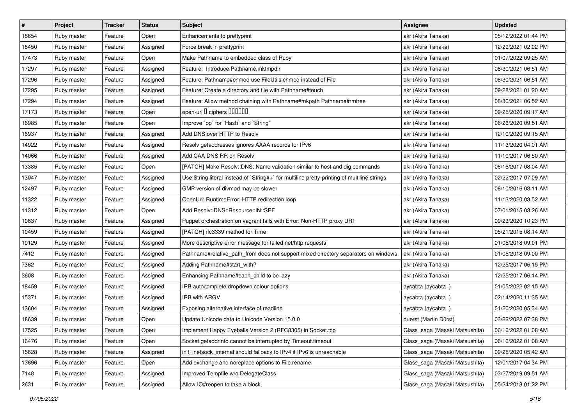| $\vert$ # | Project     | <b>Tracker</b> | <b>Status</b> | <b>Subject</b>                                                                              | <b>Assignee</b>                | <b>Updated</b>      |
|-----------|-------------|----------------|---------------|---------------------------------------------------------------------------------------------|--------------------------------|---------------------|
| 18654     | Ruby master | Feature        | Open          | Enhancements to prettyprint                                                                 | akr (Akira Tanaka)             | 05/12/2022 01:44 PM |
| 18450     | Ruby master | Feature        | Assigned      | Force break in prettyprint                                                                  | akr (Akira Tanaka)             | 12/29/2021 02:02 PM |
| 17473     | Ruby master | Feature        | Open          | Make Pathname to embedded class of Ruby                                                     | akr (Akira Tanaka)             | 01/07/2022 09:25 AM |
| 17297     | Ruby master | Feature        | Assigned      | Feature: Introduce Pathname.mktmpdir                                                        | akr (Akira Tanaka)             | 08/30/2021 06:51 AM |
| 17296     | Ruby master | Feature        | Assigned      | Feature: Pathname#chmod use FileUtils.chmod instead of File                                 | akr (Akira Tanaka)             | 08/30/2021 06:51 AM |
| 17295     | Ruby master | Feature        | Assigned      | Feature: Create a directory and file with Pathname#touch                                    | akr (Akira Tanaka)             | 09/28/2021 01:20 AM |
| 17294     | Ruby master | Feature        | Assigned      | Feature: Allow method chaining with Pathname#mkpath Pathname#rmtree                         | akr (Akira Tanaka)             | 08/30/2021 06:52 AM |
| 17173     | Ruby master | Feature        | Open          | open-uri D ciphers DOODO                                                                    | akr (Akira Tanaka)             | 09/25/2020 09:17 AM |
| 16985     | Ruby master | Feature        | Open          | Improve `pp` for `Hash` and `String`                                                        | akr (Akira Tanaka)             | 06/26/2020 09:51 AM |
| 16937     | Ruby master | Feature        | Assigned      | Add DNS over HTTP to Resolv                                                                 | akr (Akira Tanaka)             | 12/10/2020 09:15 AM |
| 14922     | Ruby master | Feature        | Assigned      | Resolv getaddresses ignores AAAA records for IPv6                                           | akr (Akira Tanaka)             | 11/13/2020 04:01 AM |
| 14066     | Ruby master | Feature        | Assigned      | Add CAA DNS RR on Resolv                                                                    | akr (Akira Tanaka)             | 11/10/2017 06:50 AM |
| 13385     | Ruby master | Feature        | Open          | [PATCH] Make Resolv::DNS::Name validation similar to host and dig commands                  | akr (Akira Tanaka)             | 06/16/2017 08:04 AM |
| 13047     | Ruby master | Feature        | Assigned      | Use String literal instead of `String#+` for multiline pretty-printing of multiline strings | akr (Akira Tanaka)             | 02/22/2017 07:09 AM |
| 12497     | Ruby master | Feature        | Assigned      | GMP version of divmod may be slower                                                         | akr (Akira Tanaka)             | 08/10/2016 03:11 AM |
| 11322     | Ruby master | Feature        | Assigned      | OpenUri: RuntimeError: HTTP redirection loop                                                | akr (Akira Tanaka)             | 11/13/2020 03:52 AM |
| 11312     | Ruby master | Feature        | Open          | Add Resolv::DNS::Resource::IN::SPF                                                          | akr (Akira Tanaka)             | 07/01/2015 03:26 AM |
| 10637     | Ruby master | Feature        | Assigned      | Puppet orchestration on vagrant fails with Error: Non-HTTP proxy URI                        | akr (Akira Tanaka)             | 09/23/2020 10:23 PM |
| 10459     | Ruby master | Feature        | Assigned      | [PATCH] rfc3339 method for Time                                                             | akr (Akira Tanaka)             | 05/21/2015 08:14 AM |
| 10129     | Ruby master | Feature        | Assigned      | More descriptive error message for failed net/http requests                                 | akr (Akira Tanaka)             | 01/05/2018 09:01 PM |
| 7412      | Ruby master | Feature        | Assigned      | Pathname#relative_path_from does not support mixed directory separators on windows          | akr (Akira Tanaka)             | 01/05/2018 09:00 PM |
| 7362      | Ruby master | Feature        | Assigned      | Adding Pathname#start_with?                                                                 | akr (Akira Tanaka)             | 12/25/2017 06:15 PM |
| 3608      | Ruby master | Feature        | Assigned      | Enhancing Pathname#each_child to be lazy                                                    | akr (Akira Tanaka)             | 12/25/2017 06:14 PM |
| 18459     | Ruby master | Feature        | Assigned      | IRB autocomplete dropdown colour options                                                    | aycabta (aycabta .)            | 01/05/2022 02:15 AM |
| 15371     | Ruby master | Feature        | Assigned      | <b>IRB with ARGV</b>                                                                        | aycabta (aycabta .)            | 02/14/2020 11:35 AM |
| 13604     | Ruby master | Feature        | Assigned      | Exposing alternative interface of readline                                                  | aycabta (aycabta.)             | 01/20/2020 05:34 AM |
| 18639     | Ruby master | Feature        | Open          | Update Unicode data to Unicode Version 15.0.0                                               | duerst (Martin Dürst)          | 03/22/2022 07:38 PM |
| 17525     | Ruby master | Feature        | Open          | Implement Happy Eyeballs Version 2 (RFC8305) in Socket.tcp                                  | Glass_saga (Masaki Matsushita) | 06/16/2022 01:08 AM |
| 16476     | Ruby master | Feature        | Open          | Socket.getaddrinfo cannot be interrupted by Timeout.timeout                                 | Glass_saga (Masaki Matsushita) | 06/16/2022 01:08 AM |
| 15628     | Ruby master | Feature        | Assigned      | init_inetsock_internal should fallback to IPv4 if IPv6 is unreachable                       | Glass_saga (Masaki Matsushita) | 09/25/2020 05:42 AM |
| 13696     | Ruby master | Feature        | Open          | Add exchange and noreplace options to File.rename                                           | Glass_saga (Masaki Matsushita) | 12/01/2017 04:34 PM |
| 7148      | Ruby master | Feature        | Assigned      | Improved Tempfile w/o DelegateClass                                                         | Glass_saga (Masaki Matsushita) | 03/27/2019 09:51 AM |
| 2631      | Ruby master | Feature        | Assigned      | Allow IO#reopen to take a block                                                             | Glass_saga (Masaki Matsushita) | 05/24/2018 01:22 PM |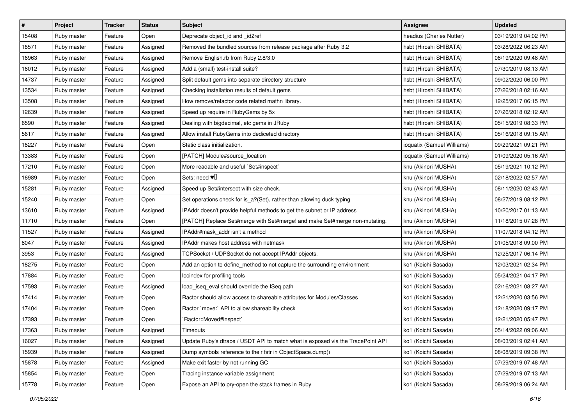| $\vert$ # | Project     | <b>Tracker</b> | <b>Status</b> | <b>Subject</b>                                                                  | <b>Assignee</b>            | <b>Updated</b>      |
|-----------|-------------|----------------|---------------|---------------------------------------------------------------------------------|----------------------------|---------------------|
| 15408     | Ruby master | Feature        | Open          | Deprecate object id and id2ref                                                  | headius (Charles Nutter)   | 03/19/2019 04:02 PM |
| 18571     | Ruby master | Feature        | Assigned      | Removed the bundled sources from release package after Ruby 3.2                 | hsbt (Hiroshi SHIBATA)     | 03/28/2022 06:23 AM |
| 16963     | Ruby master | Feature        | Assigned      | Remove English.rb from Ruby 2.8/3.0                                             | hsbt (Hiroshi SHIBATA)     | 06/19/2020 09:48 AM |
| 16012     | Ruby master | Feature        | Assigned      | Add a (small) test-install suite?                                               | hsbt (Hiroshi SHIBATA)     | 07/30/2019 08:13 AM |
| 14737     | Ruby master | Feature        | Assigned      | Split default gems into separate directory structure                            | hsbt (Hiroshi SHIBATA)     | 09/02/2020 06:00 PM |
| 13534     | Ruby master | Feature        | Assigned      | Checking installation results of default gems                                   | hsbt (Hiroshi SHIBATA)     | 07/26/2018 02:16 AM |
| 13508     | Ruby master | Feature        | Assigned      | How remove/refactor code related mathn library.                                 | hsbt (Hiroshi SHIBATA)     | 12/25/2017 06:15 PM |
| 12639     | Ruby master | Feature        | Assigned      | Speed up require in RubyGems by 5x                                              | hsbt (Hiroshi SHIBATA)     | 07/26/2018 02:12 AM |
| 6590      | Ruby master | Feature        | Assigned      | Dealing with bigdecimal, etc gems in JRuby                                      | hsbt (Hiroshi SHIBATA)     | 05/15/2019 08:33 PM |
| 5617      | Ruby master | Feature        | Assigned      | Allow install RubyGems into dediceted directory                                 | hsbt (Hiroshi SHIBATA)     | 05/16/2018 09:15 AM |
| 18227     | Ruby master | Feature        | Open          | Static class initialization.                                                    | ioquatix (Samuel Williams) | 09/29/2021 09:21 PM |
| 13383     | Ruby master | Feature        | Open          | [PATCH] Module#source_location                                                  | ioquatix (Samuel Williams) | 01/09/2020 05:16 AM |
| 17210     | Ruby master | Feature        | Open          | More readable and useful `Set#inspect`                                          | knu (Akinori MUSHA)        | 05/19/2021 10:12 PM |
| 16989     | Ruby master | Feature        | Open          | Sets: need $\Psi$                                                               | knu (Akinori MUSHA)        | 02/18/2022 02:57 AM |
| 15281     | Ruby master | Feature        | Assigned      | Speed up Set#intersect with size check.                                         | knu (Akinori MUSHA)        | 08/11/2020 02:43 AM |
| 15240     | Ruby master | Feature        | Open          | Set operations check for is_a?(Set), rather than allowing duck typing           | knu (Akinori MUSHA)        | 08/27/2019 08:12 PM |
| 13610     | Ruby master | Feature        | Assigned      | IPAddr doesn't provide helpful methods to get the subnet or IP address          | knu (Akinori MUSHA)        | 10/20/2017 01:13 AM |
| 11710     | Ruby master | Feature        | Open          | [PATCH] Replace Set#merge with Set#merge! and make Set#merge non-mutating.      | knu (Akinori MUSHA)        | 11/18/2015 07:28 PM |
| 11527     | Ruby master | Feature        | Assigned      | IPAddr#mask addr isn't a method                                                 | knu (Akinori MUSHA)        | 11/07/2018 04:12 PM |
| 8047      | Ruby master | Feature        | Assigned      | IPAddr makes host address with netmask                                          | knu (Akinori MUSHA)        | 01/05/2018 09:00 PM |
| 3953      | Ruby master | Feature        | Assigned      | TCPSocket / UDPSocket do not accept IPAddr objects.                             | knu (Akinori MUSHA)        | 12/25/2017 06:14 PM |
| 18275     | Ruby master | Feature        | Open          | Add an option to define_method to not capture the surrounding environment       | ko1 (Koichi Sasada)        | 12/03/2021 02:34 PM |
| 17884     | Ruby master | Feature        | Open          | locindex for profiling tools                                                    | ko1 (Koichi Sasada)        | 05/24/2021 04:17 PM |
| 17593     | Ruby master | Feature        | Assigned      | load_iseq_eval should override the ISeq path                                    | ko1 (Koichi Sasada)        | 02/16/2021 08:27 AM |
| 17414     | Ruby master | Feature        | Open          | Ractor should allow access to shareable attributes for Modules/Classes          | ko1 (Koichi Sasada)        | 12/21/2020 03:56 PM |
| 17404     | Ruby master | Feature        | Open          | Ractor `move:` API to allow shareability check                                  | ko1 (Koichi Sasada)        | 12/18/2020 09:17 PM |
| 17393     | Ruby master | Feature        | Open          | Ractor::Moved#inspect`                                                          | ko1 (Koichi Sasada)        | 12/21/2020 05:47 PM |
| 17363     | Ruby master | Feature        | Assigned      | Timeouts                                                                        | ko1 (Koichi Sasada)        | 05/14/2022 09:06 AM |
| 16027     | Ruby master | Feature        | Assigned      | Update Ruby's dtrace / USDT API to match what is exposed via the TracePoint API | ko1 (Koichi Sasada)        | 08/03/2019 02:41 AM |
| 15939     | Ruby master | Feature        | Assigned      | Dump symbols reference to their fstr in ObjectSpace.dump()                      | ko1 (Koichi Sasada)        | 08/08/2019 09:38 PM |
| 15878     | Ruby master | Feature        | Assigned      | Make exit faster by not running GC                                              | ko1 (Koichi Sasada)        | 07/29/2019 07:48 AM |
| 15854     | Ruby master | Feature        | Open          | Tracing instance variable assignment                                            | ko1 (Koichi Sasada)        | 07/29/2019 07:13 AM |
| 15778     | Ruby master | Feature        | Open          | Expose an API to pry-open the stack frames in Ruby                              | ko1 (Koichi Sasada)        | 08/29/2019 06:24 AM |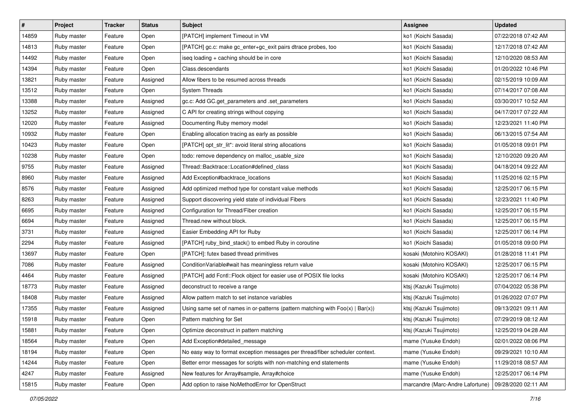| $\vert$ # | Project     | <b>Tracker</b> | <b>Status</b> | <b>Subject</b>                                                                    | <b>Assignee</b>                  | <b>Updated</b>      |
|-----------|-------------|----------------|---------------|-----------------------------------------------------------------------------------|----------------------------------|---------------------|
| 14859     | Ruby master | Feature        | Open          | [PATCH] implement Timeout in VM                                                   | ko1 (Koichi Sasada)              | 07/22/2018 07:42 AM |
| 14813     | Ruby master | Feature        | Open          | [PATCH] gc.c: make gc_enter+gc_exit pairs dtrace probes, too                      | ko1 (Koichi Sasada)              | 12/17/2018 07:42 AM |
| 14492     | Ruby master | Feature        | Open          | iseq loading + caching should be in core                                          | ko1 (Koichi Sasada)              | 12/10/2020 08:53 AM |
| 14394     | Ruby master | Feature        | Open          | Class.descendants                                                                 | ko1 (Koichi Sasada)              | 01/20/2022 10:46 PM |
| 13821     | Ruby master | Feature        | Assigned      | Allow fibers to be resumed across threads                                         | ko1 (Koichi Sasada)              | 02/15/2019 10:09 AM |
| 13512     | Ruby master | Feature        | Open          | <b>System Threads</b>                                                             | ko1 (Koichi Sasada)              | 07/14/2017 07:08 AM |
| 13388     | Ruby master | Feature        | Assigned      | gc.c: Add GC.get_parameters and .set_parameters                                   | ko1 (Koichi Sasada)              | 03/30/2017 10:52 AM |
| 13252     | Ruby master | Feature        | Assigned      | C API for creating strings without copying                                        | ko1 (Koichi Sasada)              | 04/17/2017 07:22 AM |
| 12020     | Ruby master | Feature        | Assigned      | Documenting Ruby memory model                                                     | ko1 (Koichi Sasada)              | 12/23/2021 11:40 PM |
| 10932     | Ruby master | Feature        | Open          | Enabling allocation tracing as early as possible                                  | ko1 (Koichi Sasada)              | 06/13/2015 07:54 AM |
| 10423     | Ruby master | Feature        | Open          | [PATCH] opt_str_lit*: avoid literal string allocations                            | ko1 (Koichi Sasada)              | 01/05/2018 09:01 PM |
| 10238     | Ruby master | Feature        | Open          | todo: remove dependency on malloc_usable_size                                     | ko1 (Koichi Sasada)              | 12/10/2020 09:20 AM |
| 9755      | Ruby master | Feature        | Assigned      | Thread::Backtrace::Location#defined_class                                         | ko1 (Koichi Sasada)              | 04/18/2014 09:22 AM |
| 8960      | Ruby master | Feature        | Assigned      | Add Exception#backtrace_locations                                                 | ko1 (Koichi Sasada)              | 11/25/2016 02:15 PM |
| 8576      | Ruby master | Feature        | Assigned      | Add optimized method type for constant value methods                              | ko1 (Koichi Sasada)              | 12/25/2017 06:15 PM |
| 8263      | Ruby master | Feature        | Assigned      | Support discovering yield state of individual Fibers                              | ko1 (Koichi Sasada)              | 12/23/2021 11:40 PM |
| 6695      | Ruby master | Feature        | Assigned      | Configuration for Thread/Fiber creation                                           | ko1 (Koichi Sasada)              | 12/25/2017 06:15 PM |
| 6694      | Ruby master | Feature        | Assigned      | Thread.new without block.                                                         | ko1 (Koichi Sasada)              | 12/25/2017 06:15 PM |
| 3731      | Ruby master | Feature        | Assigned      | Easier Embedding API for Ruby                                                     | ko1 (Koichi Sasada)              | 12/25/2017 06:14 PM |
| 2294      | Ruby master | Feature        | Assigned      | [PATCH] ruby_bind_stack() to embed Ruby in coroutine                              | ko1 (Koichi Sasada)              | 01/05/2018 09:00 PM |
| 13697     | Ruby master | Feature        | Open          | [PATCH]: futex based thread primitives                                            | kosaki (Motohiro KOSAKI)         | 01/28/2018 11:41 PM |
| 7086      | Ruby master | Feature        | Assigned      | ConditionVariable#wait has meaningless return value                               | kosaki (Motohiro KOSAKI)         | 12/25/2017 06:15 PM |
| 4464      | Ruby master | Feature        | Assigned      | [PATCH] add Fcntl::Flock object for easier use of POSIX file locks                | kosaki (Motohiro KOSAKI)         | 12/25/2017 06:14 PM |
| 18773     | Ruby master | Feature        | Assigned      | deconstruct to receive a range                                                    | ktsj (Kazuki Tsujimoto)          | 07/04/2022 05:38 PM |
| 18408     | Ruby master | Feature        | Assigned      | Allow pattern match to set instance variables                                     | ktsj (Kazuki Tsujimoto)          | 01/26/2022 07:07 PM |
| 17355     | Ruby master | Feature        | Assigned      | Using same set of names in or-patterns (pattern matching with $Foo(x)   Bar(x)$ ) | ktsj (Kazuki Tsujimoto)          | 09/13/2021 09:11 AM |
| 15918     | Ruby master | Feature        | Open          | Pattern matching for Set                                                          | ktsj (Kazuki Tsujimoto)          | 07/29/2019 08:12 AM |
| 15881     | Ruby master | Feature        | Open          | Optimize deconstruct in pattern matching                                          | ktsj (Kazuki Tsujimoto)          | 12/25/2019 04:28 AM |
| 18564     | Ruby master | Feature        | Open          | Add Exception#detailed message                                                    | mame (Yusuke Endoh)              | 02/01/2022 08:06 PM |
| 18194     | Ruby master | Feature        | Open          | No easy way to format exception messages per thread/fiber scheduler context.      | mame (Yusuke Endoh)              | 09/29/2021 10:10 AM |
| 14244     | Ruby master | Feature        | Open          | Better error messages for scripts with non-matching end statements                | mame (Yusuke Endoh)              | 11/29/2018 08:57 AM |
| 4247      | Ruby master | Feature        | Assigned      | New features for Array#sample, Array#choice                                       | mame (Yusuke Endoh)              | 12/25/2017 06:14 PM |
| 15815     | Ruby master | Feature        | Open          | Add option to raise NoMethodError for OpenStruct                                  | marcandre (Marc-Andre Lafortune) | 09/28/2020 02:11 AM |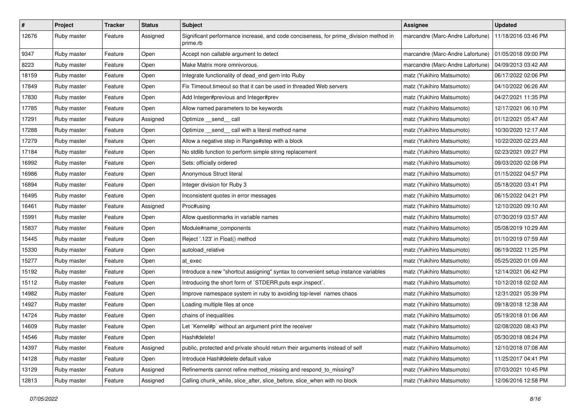| $\sharp$ | Project     | <b>Tracker</b> | <b>Status</b> | <b>Subject</b>                                                                                   | Assignee                         | <b>Updated</b>      |
|----------|-------------|----------------|---------------|--------------------------------------------------------------------------------------------------|----------------------------------|---------------------|
| 12676    | Ruby master | Feature        | Assigned      | Significant performance increase, and code conciseness, for prime_division method in<br>prime.rb | marcandre (Marc-Andre Lafortune) | 11/18/2016 03:46 PM |
| 9347     | Ruby master | Feature        | Open          | Accept non callable argument to detect                                                           | marcandre (Marc-Andre Lafortune) | 01/05/2018 09:00 PM |
| 8223     | Ruby master | Feature        | Open          | Make Matrix more omnivorous.                                                                     | marcandre (Marc-Andre Lafortune) | 04/09/2013 03:42 AM |
| 18159    | Ruby master | Feature        | Open          | Integrate functionality of dead_end gem into Ruby                                                | matz (Yukihiro Matsumoto)        | 06/17/2022 02:06 PM |
| 17849    | Ruby master | Feature        | Open          | Fix Timeout timeout so that it can be used in threaded Web servers                               | matz (Yukihiro Matsumoto)        | 04/10/2022 06:26 AM |
| 17830    | Ruby master | Feature        | Open          | Add Integer#previous and Integer#prev                                                            | matz (Yukihiro Matsumoto)        | 04/27/2021 11:35 PM |
| 17785    | Ruby master | Feature        | Open          | Allow named parameters to be keywords                                                            | matz (Yukihiro Matsumoto)        | 12/17/2021 06:10 PM |
| 17291    | Ruby master | Feature        | Assigned      | Optimize __send__ call                                                                           | matz (Yukihiro Matsumoto)        | 01/12/2021 05:47 AM |
| 17288    | Ruby master | Feature        | Open          | Optimize _send_ call with a literal method name                                                  | matz (Yukihiro Matsumoto)        | 10/30/2020 12:17 AM |
| 17279    | Ruby master | Feature        | Open          | Allow a negative step in Range#step with a block                                                 | matz (Yukihiro Matsumoto)        | 10/22/2020 02:23 AM |
| 17184    | Ruby master | Feature        | Open          | No stdlib function to perform simple string replacement                                          | matz (Yukihiro Matsumoto)        | 02/23/2021 09:27 PM |
| 16992    | Ruby master | Feature        | Open          | Sets: officially ordered                                                                         | matz (Yukihiro Matsumoto)        | 09/03/2020 02:08 PM |
| 16986    | Ruby master | Feature        | Open          | Anonymous Struct literal                                                                         | matz (Yukihiro Matsumoto)        | 01/15/2022 04:57 PM |
| 16894    | Ruby master | Feature        | Open          | Integer division for Ruby 3                                                                      | matz (Yukihiro Matsumoto)        | 05/18/2020 03:41 PM |
| 16495    | Ruby master | Feature        | Open          | Inconsistent quotes in error messages                                                            | matz (Yukihiro Matsumoto)        | 06/15/2022 04:21 PM |
| 16461    | Ruby master | Feature        | Assigned      | Proc#using                                                                                       | matz (Yukihiro Matsumoto)        | 12/10/2020 09:10 AM |
| 15991    | Ruby master | Feature        | Open          | Allow questionmarks in variable names                                                            | matz (Yukihiro Matsumoto)        | 07/30/2019 03:57 AM |
| 15837    | Ruby master | Feature        | Open          | Module#name components                                                                           | matz (Yukihiro Matsumoto)        | 05/08/2019 10:29 AM |
| 15445    | Ruby master | Feature        | Open          | Reject '.123' in Float() method                                                                  | matz (Yukihiro Matsumoto)        | 01/10/2019 07:59 AM |
| 15330    | Ruby master | Feature        | Open          | autoload_relative                                                                                | matz (Yukihiro Matsumoto)        | 06/19/2022 11:25 PM |
| 15277    | Ruby master | Feature        | Open          | at_exec                                                                                          | matz (Yukihiro Matsumoto)        | 05/25/2020 01:09 AM |
| 15192    | Ruby master | Feature        | Open          | Introduce a new "shortcut assigning" syntax to convenient setup instance variables               | matz (Yukihiro Matsumoto)        | 12/14/2021 06:42 PM |
| 15112    | Ruby master | Feature        | Open          | Introducing the short form of `STDERR.puts expr.inspect`.                                        | matz (Yukihiro Matsumoto)        | 10/12/2018 02:02 AM |
| 14982    | Ruby master | Feature        | Open          | Improve namespace system in ruby to avoiding top-level names chaos                               | matz (Yukihiro Matsumoto)        | 12/31/2021 05:39 PM |
| 14927    | Ruby master | Feature        | Open          | Loading multiple files at once                                                                   | matz (Yukihiro Matsumoto)        | 09/18/2018 12:38 AM |
| 14724    | Ruby master | Feature        | Open          | chains of inequalities                                                                           | matz (Yukihiro Matsumoto)        | 05/19/2018 01:06 AM |
| 14609    | Ruby master | Feature        | Open          | Let `Kernel#p` without an argument print the receiver                                            | matz (Yukihiro Matsumoto)        | 02/08/2020 08:43 PM |
| 14546    | Ruby master | Feature        | Open          | Hash#delete!                                                                                     | matz (Yukihiro Matsumoto)        | 05/30/2018 08:24 PM |
| 14397    | Ruby master | Feature        | Assigned      | public, protected and private should return their arguments instead of self                      | matz (Yukihiro Matsumoto)        | 12/10/2018 07:08 AM |
| 14128    | Ruby master | Feature        | Open          | Introduce Hash#delete default value                                                              | matz (Yukihiro Matsumoto)        | 11/25/2017 04:41 PM |
| 13129    | Ruby master | Feature        | Assigned      | Refinements cannot refine method_missing and respond_to_missing?                                 | matz (Yukihiro Matsumoto)        | 07/03/2021 10:45 PM |
| 12813    | Ruby master | Feature        | Assigned      | Calling chunk_while, slice_after, slice_before, slice_when with no block                         | matz (Yukihiro Matsumoto)        | 12/06/2016 12:58 PM |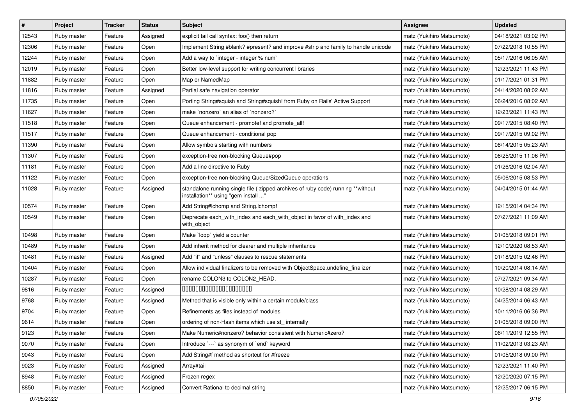| $\vert$ # | Project     | <b>Tracker</b> | <b>Status</b> | Subject                                                                                                                 | <b>Assignee</b>           | <b>Updated</b>      |
|-----------|-------------|----------------|---------------|-------------------------------------------------------------------------------------------------------------------------|---------------------------|---------------------|
| 12543     | Ruby master | Feature        | Assigned      | explicit tail call syntax: foo() then return                                                                            | matz (Yukihiro Matsumoto) | 04/18/2021 03:02 PM |
| 12306     | Ruby master | Feature        | Open          | Implement String #blank? #present? and improve #strip and family to handle unicode                                      | matz (Yukihiro Matsumoto) | 07/22/2018 10:55 PM |
| 12244     | Ruby master | Feature        | Open          | Add a way to 'integer - integer % num'                                                                                  | matz (Yukihiro Matsumoto) | 05/17/2016 06:05 AM |
| 12019     | Ruby master | Feature        | Open          | Better low-level support for writing concurrent libraries                                                               | matz (Yukihiro Matsumoto) | 12/23/2021 11:43 PM |
| 11882     | Ruby master | Feature        | Open          | Map or NamedMap                                                                                                         | matz (Yukihiro Matsumoto) | 01/17/2021 01:31 PM |
| 11816     | Ruby master | Feature        | Assigned      | Partial safe navigation operator                                                                                        | matz (Yukihiro Matsumoto) | 04/14/2020 08:02 AM |
| 11735     | Ruby master | Feature        | Open          | Porting String#squish and String#squish! from Ruby on Rails' Active Support                                             | matz (Yukihiro Matsumoto) | 06/24/2016 08:02 AM |
| 11627     | Ruby master | Feature        | Open          | make `nonzero` an alias of `nonzero?`                                                                                   | matz (Yukihiro Matsumoto) | 12/23/2021 11:43 PM |
| 11518     | Ruby master | Feature        | Open          | Queue enhancement - promote! and promote_all!                                                                           | matz (Yukihiro Matsumoto) | 09/17/2015 08:40 PM |
| 11517     | Ruby master | Feature        | Open          | Queue enhancement - conditional pop                                                                                     | matz (Yukihiro Matsumoto) | 09/17/2015 09:02 PM |
| 11390     | Ruby master | Feature        | Open          | Allow symbols starting with numbers                                                                                     | matz (Yukihiro Matsumoto) | 08/14/2015 05:23 AM |
| 11307     | Ruby master | Feature        | Open          | exception-free non-blocking Queue#pop                                                                                   | matz (Yukihiro Matsumoto) | 06/25/2015 11:06 PM |
| 11181     | Ruby master | Feature        | Open          | Add a line directive to Ruby                                                                                            | matz (Yukihiro Matsumoto) | 01/26/2016 02:04 AM |
| 11122     | Ruby master | Feature        | Open          | exception-free non-blocking Queue/SizedQueue operations                                                                 | matz (Yukihiro Matsumoto) | 05/06/2015 08:53 PM |
| 11028     | Ruby master | Feature        | Assigned      | standalone running single file ( zipped archives of ruby code) running **without<br>installation** using "gem install " | matz (Yukihiro Matsumoto) | 04/04/2015 01:44 AM |
| 10574     | Ruby master | Feature        | Open          | Add String#Ichomp and String.Ichomp!                                                                                    | matz (Yukihiro Matsumoto) | 12/15/2014 04:34 PM |
| 10549     | Ruby master | Feature        | Open          | Deprecate each with index and each with object in favor of with index and<br>with_object                                | matz (Yukihiro Matsumoto) | 07/27/2021 11:09 AM |
| 10498     | Ruby master | Feature        | Open          | Make `loop` yield a counter                                                                                             | matz (Yukihiro Matsumoto) | 01/05/2018 09:01 PM |
| 10489     | Ruby master | Feature        | Open          | Add inherit method for clearer and multiple inheritance                                                                 | matz (Yukihiro Matsumoto) | 12/10/2020 08:53 AM |
| 10481     | Ruby master | Feature        | Assigned      | Add "if" and "unless" clauses to rescue statements                                                                      | matz (Yukihiro Matsumoto) | 01/18/2015 02:46 PM |
| 10404     | Ruby master | Feature        | Open          | Allow individual finalizers to be removed with ObjectSpace.undefine_finalizer                                           | matz (Yukihiro Matsumoto) | 10/20/2014 08:14 AM |
| 10287     | Ruby master | Feature        | Open          | rename COLON3 to COLON2_HEAD.                                                                                           | matz (Yukihiro Matsumoto) | 07/27/2021 09:34 AM |
| 9816      | Ruby master | Feature        | Assigned      | 00000000000000000000                                                                                                    | matz (Yukihiro Matsumoto) | 10/28/2014 08:29 AM |
| 9768      | Ruby master | Feature        | Assigned      | Method that is visible only within a certain module/class                                                               | matz (Yukihiro Matsumoto) | 04/25/2014 06:43 AM |
| 9704      | Ruby master | Feature        | Open          | Refinements as files instead of modules                                                                                 | matz (Yukihiro Matsumoto) | 10/11/2016 06:36 PM |
| 9614      | Ruby master | Feature        | Open          | ordering of non-Hash items which use st internally                                                                      | matz (Yukihiro Matsumoto) | 01/05/2018 09:00 PM |
| 9123      | Ruby master | Feature        | Open          | Make Numeric#nonzero? behavior consistent with Numeric#zero?                                                            | matz (Yukihiro Matsumoto) | 06/11/2019 12:55 PM |
| 9070      | Ruby master | Feature        | Open          | Introduce `---` as synonym of `end` keyword                                                                             | matz (Yukihiro Matsumoto) | 11/02/2013 03:23 AM |
| 9043      | Ruby master | Feature        | Open          | Add String#f method as shortcut for #freeze                                                                             | matz (Yukihiro Matsumoto) | 01/05/2018 09:00 PM |
| 9023      | Ruby master | Feature        | Assigned      | Array#tail                                                                                                              | matz (Yukihiro Matsumoto) | 12/23/2021 11:40 PM |
| 8948      | Ruby master | Feature        | Assigned      | Frozen regex                                                                                                            | matz (Yukihiro Matsumoto) | 12/20/2020 07:15 PM |
| 8850      | Ruby master | Feature        | Assigned      | Convert Rational to decimal string                                                                                      | matz (Yukihiro Matsumoto) | 12/25/2017 06:15 PM |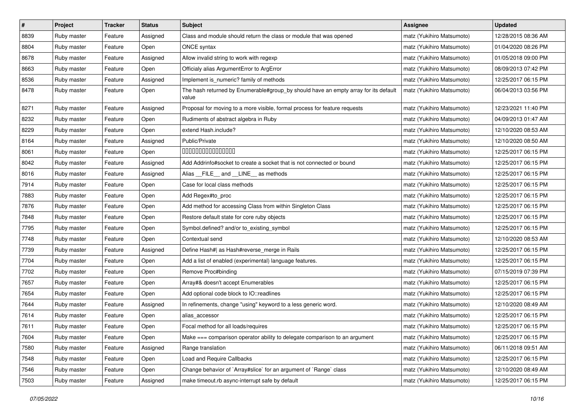| $\vert$ # | Project     | <b>Tracker</b> | <b>Status</b> | <b>Subject</b>                                                                               | <b>Assignee</b>           | <b>Updated</b>      |
|-----------|-------------|----------------|---------------|----------------------------------------------------------------------------------------------|---------------------------|---------------------|
| 8839      | Ruby master | Feature        | Assigned      | Class and module should return the class or module that was opened                           | matz (Yukihiro Matsumoto) | 12/28/2015 08:36 AM |
| 8804      | Ruby master | Feature        | Open          | ONCE syntax                                                                                  | matz (Yukihiro Matsumoto) | 01/04/2020 08:26 PM |
| 8678      | Ruby master | Feature        | Assigned      | Allow invalid string to work with regexp                                                     | matz (Yukihiro Matsumoto) | 01/05/2018 09:00 PM |
| 8663      | Ruby master | Feature        | Open          | Officialy alias ArgumentError to ArgError                                                    | matz (Yukihiro Matsumoto) | 08/09/2013 07:42 PM |
| 8536      | Ruby master | Feature        | Assigned      | Implement is_numeric? family of methods                                                      | matz (Yukihiro Matsumoto) | 12/25/2017 06:15 PM |
| 8478      | Ruby master | Feature        | Open          | The hash returned by Enumerable#group_by should have an empty array for its default<br>value | matz (Yukihiro Matsumoto) | 06/04/2013 03:56 PM |
| 8271      | Ruby master | Feature        | Assigned      | Proposal for moving to a more visible, formal process for feature requests                   | matz (Yukihiro Matsumoto) | 12/23/2021 11:40 PM |
| 8232      | Ruby master | Feature        | Open          | Rudiments of abstract algebra in Ruby                                                        | matz (Yukihiro Matsumoto) | 04/09/2013 01:47 AM |
| 8229      | Ruby master | Feature        | Open          | extend Hash.include?                                                                         | matz (Yukihiro Matsumoto) | 12/10/2020 08:53 AM |
| 8164      | Ruby master | Feature        | Assigned      | Public/Private                                                                               | matz (Yukihiro Matsumoto) | 12/10/2020 08:50 AM |
| 8061      | Ruby master | Feature        | Open          | 000000000000000                                                                              | matz (Yukihiro Matsumoto) | 12/25/2017 06:15 PM |
| 8042      | Ruby master | Feature        | Assigned      | Add Addrinfo#socket to create a socket that is not connected or bound                        | matz (Yukihiro Matsumoto) | 12/25/2017 06:15 PM |
| 8016      | Ruby master | Feature        | Assigned      | Alias FILE and LINE as methods                                                               | matz (Yukihiro Matsumoto) | 12/25/2017 06:15 PM |
| 7914      | Ruby master | Feature        | Open          | Case for local class methods                                                                 | matz (Yukihiro Matsumoto) | 12/25/2017 06:15 PM |
| 7883      | Ruby master | Feature        | Open          | Add Regex#to_proc                                                                            | matz (Yukihiro Matsumoto) | 12/25/2017 06:15 PM |
| 7876      | Ruby master | Feature        | Open          | Add method for accessing Class from within Singleton Class                                   | matz (Yukihiro Matsumoto) | 12/25/2017 06:15 PM |
| 7848      | Ruby master | Feature        | Open          | Restore default state for core ruby objects                                                  | matz (Yukihiro Matsumoto) | 12/25/2017 06:15 PM |
| 7795      | Ruby master | Feature        | Open          | Symbol.defined? and/or to_existing_symbol                                                    | matz (Yukihiro Matsumoto) | 12/25/2017 06:15 PM |
| 7748      | Ruby master | Feature        | Open          | Contextual send                                                                              | matz (Yukihiro Matsumoto) | 12/10/2020 08:53 AM |
| 7739      | Ruby master | Feature        | Assigned      | Define Hash#  as Hash#reverse_merge in Rails                                                 | matz (Yukihiro Matsumoto) | 12/25/2017 06:15 PM |
| 7704      | Ruby master | Feature        | Open          | Add a list of enabled (experimental) language features.                                      | matz (Yukihiro Matsumoto) | 12/25/2017 06:15 PM |
| 7702      | Ruby master | Feature        | Open          | Remove Proc#binding                                                                          | matz (Yukihiro Matsumoto) | 07/15/2019 07:39 PM |
| 7657      | Ruby master | Feature        | Open          | Array#& doesn't accept Enumerables                                                           | matz (Yukihiro Matsumoto) | 12/25/2017 06:15 PM |
| 7654      | Ruby master | Feature        | Open          | Add optional code block to IO::readlines                                                     | matz (Yukihiro Matsumoto) | 12/25/2017 06:15 PM |
| 7644      | Ruby master | Feature        | Assigned      | In refinements, change "using" keyword to a less generic word.                               | matz (Yukihiro Matsumoto) | 12/10/2020 08:49 AM |
| 7614      | Ruby master | Feature        | Open          | alias_accessor                                                                               | matz (Yukihiro Matsumoto) | 12/25/2017 06:15 PM |
| 7611      | Ruby master | Feature        | Open          | Focal method for all loads/requires                                                          | matz (Yukihiro Matsumoto) | 12/25/2017 06:15 PM |
| 7604      | Ruby master | Feature        | Open          | Make $==$ comparison operator ability to delegate comparison to an argument                  | matz (Yukihiro Matsumoto) | 12/25/2017 06:15 PM |
| 7580      | Ruby master | Feature        | Assigned      | Range translation                                                                            | matz (Yukihiro Matsumoto) | 06/11/2018 09:51 AM |
| 7548      | Ruby master | Feature        | Open          | Load and Require Callbacks                                                                   | matz (Yukihiro Matsumoto) | 12/25/2017 06:15 PM |
| 7546      | Ruby master | Feature        | Open          | Change behavior of `Array#slice` for an argument of `Range` class                            | matz (Yukihiro Matsumoto) | 12/10/2020 08:49 AM |
| 7503      | Ruby master | Feature        | Assigned      | make timeout.rb async-interrupt safe by default                                              | matz (Yukihiro Matsumoto) | 12/25/2017 06:15 PM |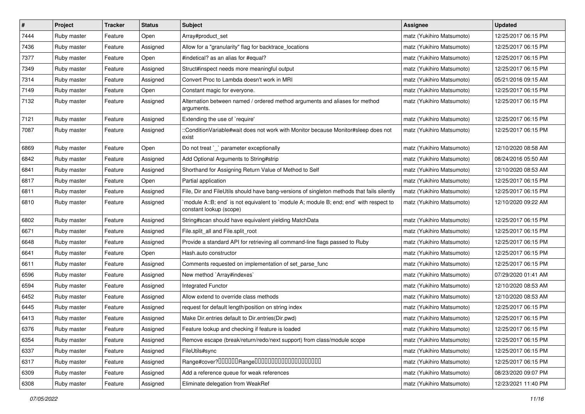| $\pmb{\#}$ | Project     | <b>Tracker</b> | <b>Status</b> | <b>Subject</b>                                                                                                    | <b>Assignee</b>           | <b>Updated</b>      |
|------------|-------------|----------------|---------------|-------------------------------------------------------------------------------------------------------------------|---------------------------|---------------------|
| 7444       | Ruby master | Feature        | Open          | Array#product_set                                                                                                 | matz (Yukihiro Matsumoto) | 12/25/2017 06:15 PM |
| 7436       | Ruby master | Feature        | Assigned      | Allow for a "granularity" flag for backtrace_locations                                                            | matz (Yukihiro Matsumoto) | 12/25/2017 06:15 PM |
| 7377       | Ruby master | Feature        | Open          | #indetical? as an alias for #equal?                                                                               | matz (Yukihiro Matsumoto) | 12/25/2017 06:15 PM |
| 7349       | Ruby master | Feature        | Assigned      | Struct#inspect needs more meaningful output                                                                       | matz (Yukihiro Matsumoto) | 12/25/2017 06:15 PM |
| 7314       | Ruby master | Feature        | Assigned      | Convert Proc to Lambda doesn't work in MRI                                                                        | matz (Yukihiro Matsumoto) | 05/21/2016 09:15 AM |
| 7149       | Ruby master | Feature        | Open          | Constant magic for everyone.                                                                                      | matz (Yukihiro Matsumoto) | 12/25/2017 06:15 PM |
| 7132       | Ruby master | Feature        | Assigned      | Alternation between named / ordered method arguments and aliases for method<br>arguments.                         | matz (Yukihiro Matsumoto) | 12/25/2017 06:15 PM |
| 7121       | Ruby master | Feature        | Assigned      | Extending the use of `require'                                                                                    | matz (Yukihiro Matsumoto) | 12/25/2017 06:15 PM |
| 7087       | Ruby master | Feature        | Assigned      | ::ConditionVariable#wait does not work with Monitor because Monitor#sleep does not<br>exist                       | matz (Yukihiro Matsumoto) | 12/25/2017 06:15 PM |
| 6869       | Ruby master | Feature        | Open          | Do not treat `_` parameter exceptionally                                                                          | matz (Yukihiro Matsumoto) | 12/10/2020 08:58 AM |
| 6842       | Ruby master | Feature        | Assigned      | Add Optional Arguments to String#strip                                                                            | matz (Yukihiro Matsumoto) | 08/24/2016 05:50 AM |
| 6841       | Ruby master | Feature        | Assigned      | Shorthand for Assigning Return Value of Method to Self                                                            | matz (Yukihiro Matsumoto) | 12/10/2020 08:53 AM |
| 6817       | Ruby master | Feature        | Open          | Partial application                                                                                               | matz (Yukihiro Matsumoto) | 12/25/2017 06:15 PM |
| 6811       | Ruby master | Feature        | Assigned      | File, Dir and FileUtils should have bang-versions of singleton methods that fails silently                        | matz (Yukihiro Matsumoto) | 12/25/2017 06:15 PM |
| 6810       | Ruby master | Feature        | Assigned      | `module A::B; end` is not equivalent to `module A; module B; end; end` with respect to<br>constant lookup (scope) | matz (Yukihiro Matsumoto) | 12/10/2020 09:22 AM |
| 6802       | Ruby master | Feature        | Assigned      | String#scan should have equivalent yielding MatchData                                                             | matz (Yukihiro Matsumoto) | 12/25/2017 06:15 PM |
| 6671       | Ruby master | Feature        | Assigned      | File.split_all and File.split_root                                                                                | matz (Yukihiro Matsumoto) | 12/25/2017 06:15 PM |
| 6648       | Ruby master | Feature        | Assigned      | Provide a standard API for retrieving all command-line flags passed to Ruby                                       | matz (Yukihiro Matsumoto) | 12/25/2017 06:15 PM |
| 6641       | Ruby master | Feature        | Open          | Hash.auto constructor                                                                                             | matz (Yukihiro Matsumoto) | 12/25/2017 06:15 PM |
| 6611       | Ruby master | Feature        | Assigned      | Comments requested on implementation of set_parse_func                                                            | matz (Yukihiro Matsumoto) | 12/25/2017 06:15 PM |
| 6596       | Ruby master | Feature        | Assigned      | New method `Array#indexes`                                                                                        | matz (Yukihiro Matsumoto) | 07/29/2020 01:41 AM |
| 6594       | Ruby master | Feature        | Assigned      | Integrated Functor                                                                                                | matz (Yukihiro Matsumoto) | 12/10/2020 08:53 AM |
| 6452       | Ruby master | Feature        | Assigned      | Allow extend to override class methods                                                                            | matz (Yukihiro Matsumoto) | 12/10/2020 08:53 AM |
| 6445       | Ruby master | Feature        | Assigned      | request for default length/position on string index                                                               | matz (Yukihiro Matsumoto) | 12/25/2017 06:15 PM |
| 6413       | Ruby master | Feature        | Assigned      | Make Dir.entries default to Dir.entries(Dir.pwd)                                                                  | matz (Yukihiro Matsumoto) | 12/25/2017 06:15 PM |
| 6376       | Ruby master | Feature        | Assigned      | Feature lookup and checking if feature is loaded                                                                  | matz (Yukihiro Matsumoto) | 12/25/2017 06:15 PM |
| 6354       | Ruby master | Feature        | Assigned      | Remove escape (break/return/redo/next support) from class/module scope                                            | matz (Yukihiro Matsumoto) | 12/25/2017 06:15 PM |
| 6337       | Ruby master | Feature        | Assigned      | FileUtils#sync                                                                                                    | matz (Yukihiro Matsumoto) | 12/25/2017 06:15 PM |
| 6317       | Ruby master | Feature        | Assigned      | Range#cover?000000Range00000000000000000000                                                                       | matz (Yukihiro Matsumoto) | 12/25/2017 06:15 PM |
| 6309       | Ruby master | Feature        | Assigned      | Add a reference queue for weak references                                                                         | matz (Yukihiro Matsumoto) | 08/23/2020 09:07 PM |
| 6308       | Ruby master | Feature        | Assigned      | Eliminate delegation from WeakRef                                                                                 | matz (Yukihiro Matsumoto) | 12/23/2021 11:40 PM |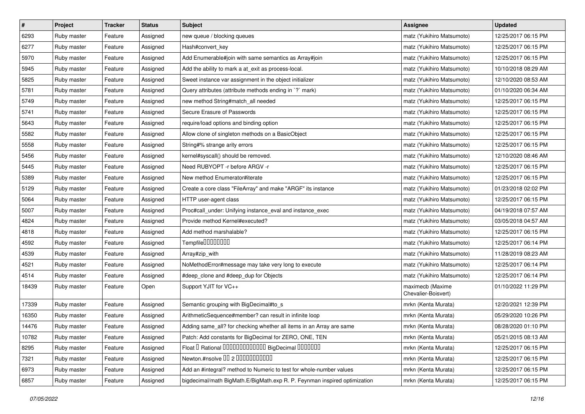| $\sharp$ | Project     | <b>Tracker</b> | <b>Status</b> | <b>Subject</b>                                                            | <b>Assignee</b>                         | <b>Updated</b>      |
|----------|-------------|----------------|---------------|---------------------------------------------------------------------------|-----------------------------------------|---------------------|
| 6293     | Ruby master | Feature        | Assigned      | new queue / blocking queues                                               | matz (Yukihiro Matsumoto)               | 12/25/2017 06:15 PM |
| 6277     | Ruby master | Feature        | Assigned      | Hash#convert_key                                                          | matz (Yukihiro Matsumoto)               | 12/25/2017 06:15 PM |
| 5970     | Ruby master | Feature        | Assigned      | Add Enumerable#join with same semantics as Array#join                     | matz (Yukihiro Matsumoto)               | 12/25/2017 06:15 PM |
| 5945     | Ruby master | Feature        | Assigned      | Add the ability to mark a at_exit as process-local.                       | matz (Yukihiro Matsumoto)               | 10/10/2018 08:29 AM |
| 5825     | Ruby master | Feature        | Assigned      | Sweet instance var assignment in the object initializer                   | matz (Yukihiro Matsumoto)               | 12/10/2020 08:53 AM |
| 5781     | Ruby master | Feature        | Assigned      | Query attributes (attribute methods ending in `?` mark)                   | matz (Yukihiro Matsumoto)               | 01/10/2020 06:34 AM |
| 5749     | Ruby master | Feature        | Assigned      | new method String#match_all needed                                        | matz (Yukihiro Matsumoto)               | 12/25/2017 06:15 PM |
| 5741     | Ruby master | Feature        | Assigned      | Secure Erasure of Passwords                                               | matz (Yukihiro Matsumoto)               | 12/25/2017 06:15 PM |
| 5643     | Ruby master | Feature        | Assigned      | require/load options and binding option                                   | matz (Yukihiro Matsumoto)               | 12/25/2017 06:15 PM |
| 5582     | Ruby master | Feature        | Assigned      | Allow clone of singleton methods on a BasicObject                         | matz (Yukihiro Matsumoto)               | 12/25/2017 06:15 PM |
| 5558     | Ruby master | Feature        | Assigned      | String#% strange arity errors                                             | matz (Yukihiro Matsumoto)               | 12/25/2017 06:15 PM |
| 5456     | Ruby master | Feature        | Assigned      | kernel#syscall() should be removed.                                       | matz (Yukihiro Matsumoto)               | 12/10/2020 08:46 AM |
| 5445     | Ruby master | Feature        | Assigned      | Need RUBYOPT - r before ARGV - r                                          | matz (Yukihiro Matsumoto)               | 12/25/2017 06:15 PM |
| 5389     | Ruby master | Feature        | Assigned      | New method Enumerator#iterate                                             | matz (Yukihiro Matsumoto)               | 12/25/2017 06:15 PM |
| 5129     | Ruby master | Feature        | Assigned      | Create a core class "FileArray" and make "ARGF" its instance              | matz (Yukihiro Matsumoto)               | 01/23/2018 02:02 PM |
| 5064     | Ruby master | Feature        | Assigned      | HTTP user-agent class                                                     | matz (Yukihiro Matsumoto)               | 12/25/2017 06:15 PM |
| 5007     | Ruby master | Feature        | Assigned      | Proc#call_under: Unifying instance_eval and instance_exec                 | matz (Yukihiro Matsumoto)               | 04/19/2018 07:57 AM |
| 4824     | Ruby master | Feature        | Assigned      | Provide method Kernel#executed?                                           | matz (Yukihiro Matsumoto)               | 03/05/2018 04:57 AM |
| 4818     | Ruby master | Feature        | Assigned      | Add method marshalable?                                                   | matz (Yukihiro Matsumoto)               | 12/25/2017 06:15 PM |
| 4592     | Ruby master | Feature        | Assigned      | Tempfile0000000                                                           | matz (Yukihiro Matsumoto)               | 12/25/2017 06:14 PM |
| 4539     | Ruby master | Feature        | Assigned      | Array#zip_with                                                            | matz (Yukihiro Matsumoto)               | 11/28/2019 08:23 AM |
| 4521     | Ruby master | Feature        | Assigned      | NoMethodError#message may take very long to execute                       | matz (Yukihiro Matsumoto)               | 12/25/2017 06:14 PM |
| 4514     | Ruby master | Feature        | Assigned      | #deep_clone and #deep_dup for Objects                                     | matz (Yukihiro Matsumoto)               | 12/25/2017 06:14 PM |
| 18439    | Ruby master | Feature        | Open          | Support YJIT for VC++                                                     | maximecb (Maxime<br>Chevalier-Boisvert) | 01/10/2022 11:29 PM |
| 17339    | Ruby master | Feature        | Assigned      | Semantic grouping with BigDecimal#to_s                                    | mrkn (Kenta Murata)                     | 12/20/2021 12:39 PM |
| 16350    | Ruby master | Feature        | Assigned      | ArithmeticSequence#member? can result in infinite loop                    | mrkn (Kenta Murata)                     | 05/29/2020 10:26 PM |
| 14476    | Ruby master | Feature        | Assigned      | Adding same_all? for checking whether all items in an Array are same      | mrkn (Kenta Murata)                     | 08/28/2020 01:10 PM |
| 10782    | Ruby master | Feature        | Assigned      | Patch: Add constants for BigDecimal for ZERO, ONE, TEN                    | mrkn (Kenta Murata)                     | 05/21/2015 08:13 AM |
| 8295     | Ruby master | Feature        | Assigned      | Float I Rational 0000000000000 BigDecimal 0000000                         | mrkn (Kenta Murata)                     | 12/25/2017 06:15 PM |
| 7321     | Ruby master | Feature        | Assigned      | Newton.#nsolve 00 2 0000000000                                            | mrkn (Kenta Murata)                     | 12/25/2017 06:15 PM |
| 6973     | Ruby master | Feature        | Assigned      | Add an #integral? method to Numeric to test for whole-number values       | mrkn (Kenta Murata)                     | 12/25/2017 06:15 PM |
| 6857     | Ruby master | Feature        | Assigned      | bigdecimal/math BigMath.E/BigMath.exp R. P. Feynman inspired optimization | mrkn (Kenta Murata)                     | 12/25/2017 06:15 PM |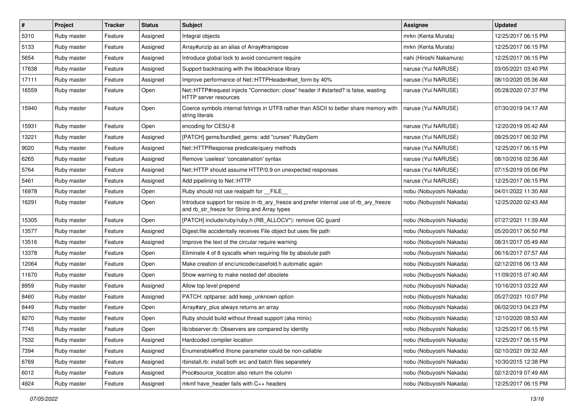| $\vert$ # | Project     | <b>Tracker</b> | <b>Status</b> | <b>Subject</b>                                                                                                                         | <b>Assignee</b>         | <b>Updated</b>      |
|-----------|-------------|----------------|---------------|----------------------------------------------------------------------------------------------------------------------------------------|-------------------------|---------------------|
| 5310      | Ruby master | Feature        | Assigned      | Integral objects                                                                                                                       | mrkn (Kenta Murata)     | 12/25/2017 06:15 PM |
| 5133      | Ruby master | Feature        | Assigned      | Array#unzip as an alias of Array#transpose                                                                                             | mrkn (Kenta Murata)     | 12/25/2017 06:15 PM |
| 5654      | Ruby master | Feature        | Assigned      | Introduce global lock to avoid concurrent require                                                                                      | nahi (Hiroshi Nakamura) | 12/25/2017 06:15 PM |
| 17638     | Ruby master | Feature        | Assigned      | Support backtracing with the libbacktrace library                                                                                      | naruse (Yui NARUSE)     | 03/05/2021 03:40 PM |
| 17111     | Ruby master | Feature        | Assigned      | Improve performance of Net::HTTPHeader#set_form by 40%                                                                                 | naruse (Yui NARUSE)     | 08/10/2020 05:36 AM |
| 16559     | Ruby master | Feature        | Open          | Net::HTTP#request injects "Connection: close" header if #started? is false, wasting<br>HTTP server resources                           | naruse (Yui NARUSE)     | 05/28/2020 07:37 PM |
| 15940     | Ruby master | Feature        | Open          | Coerce symbols internal fstrings in UTF8 rather than ASCII to better share memory with<br>string literals                              | naruse (Yui NARUSE)     | 07/30/2019 04:17 AM |
| 15931     | Ruby master | Feature        | Open          | encoding for CESU-8                                                                                                                    | naruse (Yui NARUSE)     | 12/20/2019 05:42 AM |
| 13221     | Ruby master | Feature        | Assigned      | [PATCH] gems/bundled gems: add "curses" RubyGem                                                                                        | naruse (Yui NARUSE)     | 09/25/2017 06:32 PM |
| 9020      | Ruby master | Feature        | Assigned      | Net::HTTPResponse predicate/query methods                                                                                              | naruse (Yui NARUSE)     | 12/25/2017 06:15 PM |
| 6265      | Ruby master | Feature        | Assigned      | Remove 'useless' 'concatenation' syntax                                                                                                | naruse (Yui NARUSE)     | 08/10/2016 02:36 AM |
| 5764      | Ruby master | Feature        | Assigned      | Net::HTTP should assume HTTP/0.9 on unexpected responses                                                                               | naruse (Yui NARUSE)     | 07/15/2019 05:06 PM |
| 5461      | Ruby master | Feature        | Assigned      | Add pipelining to Net::HTTP                                                                                                            | naruse (Yui NARUSE)     | 12/25/2017 06:15 PM |
| 16978     | Ruby master | Feature        | Open          | Ruby should not use realpath for __FILE_                                                                                               | nobu (Nobuyoshi Nakada) | 04/01/2022 11:30 AM |
| 16291     | Ruby master | Feature        | Open          | Introduce support for resize in rb_ary_freeze and prefer internal use of rb_ary_freeze<br>and rb_str_freeze for String and Array types | nobu (Nobuyoshi Nakada) | 12/25/2020 02:43 AM |
| 15305     | Ruby master | Feature        | Open          | [PATCH] include/ruby/ruby.h (RB ALLOCV*): remove GC quard                                                                              | nobu (Nobuyoshi Nakada) | 07/27/2021 11:39 AM |
| 13577     | Ruby master | Feature        | Assigned      | Digest file accidentally receives File object but uses file path                                                                       | nobu (Nobuyoshi Nakada) | 05/20/2017 06:50 PM |
| 13516     | Ruby master | Feature        | Assigned      | Improve the text of the circular require warning                                                                                       | nobu (Nobuyoshi Nakada) | 08/31/2017 05:49 AM |
| 13378     | Ruby master | Feature        | Open          | Eliminate 4 of 8 syscalls when requiring file by absolute path                                                                         | nobu (Nobuyoshi Nakada) | 06/16/2017 07:57 AM |
| 12064     | Ruby master | Feature        | Open          | Make creation of enc/unicode/casefold.h automatic again                                                                                | nobu (Nobuyoshi Nakada) | 02/12/2016 06:13 AM |
| 11670     | Ruby master | Feature        | Open          | Show warning to make nested def obsolete                                                                                               | nobu (Nobuyoshi Nakada) | 11/09/2015 07:40 AM |
| 8959      | Ruby master | Feature        | Assigned      | Allow top level prepend                                                                                                                | nobu (Nobuyoshi Nakada) | 10/16/2013 03:22 AM |
| 8460      | Ruby master | Feature        | Assigned      | PATCH: optparse: add keep_unknown option                                                                                               | nobu (Nobuyoshi Nakada) | 05/27/2021 10:07 PM |
| 8449      | Ruby master | Feature        | Open          | Array#ary plus always returns an array                                                                                                 | nobu (Nobuyoshi Nakada) | 06/02/2013 04:23 PM |
| 8270      | Ruby master | Feature        | Open          | Ruby should build without thread support (aka minix)                                                                                   | nobu (Nobuyoshi Nakada) | 12/10/2020 08:53 AM |
| 7745      | Ruby master | Feature        | Open          | lib/observer.rb: Observers are compared by identity                                                                                    | nobu (Nobuyoshi Nakada) | 12/25/2017 06:15 PM |
| 7532      | Ruby master | Feature        | Assigned      | Hardcoded compiler location                                                                                                            | nobu (Nobuyoshi Nakada) | 12/25/2017 06:15 PM |
| 7394      | Ruby master | Feature        | Assigned      | Enumerable#find ifnone parameter could be non-callable                                                                                 | nobu (Nobuyoshi Nakada) | 02/10/2021 09:32 AM |
| 6769      | Ruby master | Feature        | Assigned      | rbinstall.rb: install both src and batch files separetely                                                                              | nobu (Nobuyoshi Nakada) | 10/30/2015 12:38 PM |
| 6012      | Ruby master | Feature        | Assigned      | Proc#source_location also return the column                                                                                            | nobu (Nobuyoshi Nakada) | 02/12/2019 07:49 AM |
| 4924      | Ruby master | Feature        | Assigned      | mkmf have_header fails with C++ headers                                                                                                | nobu (Nobuyoshi Nakada) | 12/25/2017 06:15 PM |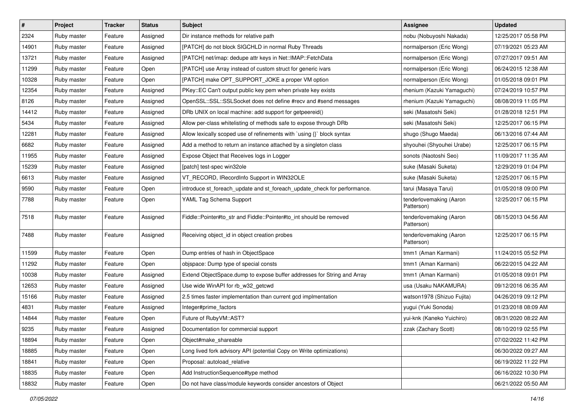| $\vert$ # | Project     | <b>Tracker</b> | <b>Status</b> | <b>Subject</b>                                                           | <b>Assignee</b>                       | <b>Updated</b>      |
|-----------|-------------|----------------|---------------|--------------------------------------------------------------------------|---------------------------------------|---------------------|
| 2324      | Ruby master | Feature        | Assigned      | Dir instance methods for relative path                                   | nobu (Nobuyoshi Nakada)               | 12/25/2017 05:58 PM |
| 14901     | Ruby master | Feature        | Assigned      | [PATCH] do not block SIGCHLD in normal Ruby Threads                      | normalperson (Eric Wong)              | 07/19/2021 05:23 AM |
| 13721     | Ruby master | Feature        | Assigned      | [PATCH] net/imap: dedupe attr keys in Net::IMAP::FetchData               | normalperson (Eric Wong)              | 07/27/2017 09:51 AM |
| 11299     | Ruby master | Feature        | Open          | [PATCH] use Array instead of custom struct for generic ivars             | normalperson (Eric Wong)              | 06/24/2015 12:38 AM |
| 10328     | Ruby master | Feature        | Open          | [PATCH] make OPT_SUPPORT_JOKE a proper VM option                         | normalperson (Eric Wong)              | 01/05/2018 09:01 PM |
| 12354     | Ruby master | Feature        | Assigned      | PKey::EC Can't output public key pem when private key exists             | rhenium (Kazuki Yamaguchi)            | 07/24/2019 10:57 PM |
| 8126      | Ruby master | Feature        | Assigned      | OpenSSL::SSL::SSLSocket does not define #recv and #send messages         | rhenium (Kazuki Yamaguchi)            | 08/08/2019 11:05 PM |
| 14412     | Ruby master | Feature        | Assigned      | DRb UNIX on local machine: add support for getpeereid()                  | seki (Masatoshi Seki)                 | 01/28/2018 12:51 PM |
| 5434      | Ruby master | Feature        | Assigned      | Allow per-class whitelisting of methods safe to expose through DRb       | seki (Masatoshi Seki)                 | 12/25/2017 06:15 PM |
| 12281     | Ruby master | Feature        | Assigned      | Allow lexically scoped use of refinements with `using {}` block syntax   | shugo (Shugo Maeda)                   | 06/13/2016 07:44 AM |
| 6682      | Ruby master | Feature        | Assigned      | Add a method to return an instance attached by a singleton class         | shyouhei (Shyouhei Urabe)             | 12/25/2017 06:15 PM |
| 11955     | Ruby master | Feature        | Assigned      | Expose Object that Receives logs in Logger                               | sonots (Naotoshi Seo)                 | 11/09/2017 11:35 AM |
| 15239     | Ruby master | Feature        | Assigned      | [patch] test-spec win32ole                                               | suke (Masaki Suketa)                  | 12/29/2019 01:04 PM |
| 6613      | Ruby master | Feature        | Assigned      | VT_RECORD, IRecordInfo Support in WIN32OLE                               | suke (Masaki Suketa)                  | 12/25/2017 06:15 PM |
| 9590      | Ruby master | Feature        | Open          | introduce st_foreach_update and st_foreach_update_check for performance. | tarui (Masaya Tarui)                  | 01/05/2018 09:00 PM |
| 7788      | Ruby master | Feature        | Open          | YAML Tag Schema Support                                                  | tenderlovemaking (Aaron<br>Patterson) | 12/25/2017 06:15 PM |
| 7518      | Ruby master | Feature        | Assigned      | Fiddle::Pointer#to_str and Fiddle::Pointer#to_int should be removed      | tenderlovemaking (Aaron<br>Patterson) | 08/15/2013 04:56 AM |
| 7488      | Ruby master | Feature        | Assigned      | Receiving object_id in object creation probes                            | tenderlovemaking (Aaron<br>Patterson) | 12/25/2017 06:15 PM |
| 11599     | Ruby master | Feature        | Open          | Dump entries of hash in ObjectSpace                                      | tmm1 (Aman Karmani)                   | 11/24/2015 05:52 PM |
| 11292     | Ruby master | Feature        | Open          | objspace: Dump type of special consts                                    | tmm1 (Aman Karmani)                   | 06/22/2015 04:22 AM |
| 10038     | Ruby master | Feature        | Assigned      | Extend ObjectSpace.dump to expose buffer addresses for String and Array  | tmm1 (Aman Karmani)                   | 01/05/2018 09:01 PM |
| 12653     | Ruby master | Feature        | Assigned      | Use wide WinAPI for rb_w32_getcwd                                        | usa (Usaku NAKAMURA)                  | 09/12/2016 06:35 AM |
| 15166     | Ruby master | Feature        | Assigned      | 2.5 times faster implementation than current gcd implmentation           | watson1978 (Shizuo Fujita)            | 04/26/2019 09:12 PM |
| 4831      | Ruby master | Feature        | Assigned      | Integer#prime_factors                                                    | yugui (Yuki Sonoda)                   | 01/23/2018 08:09 AM |
| 14844     | Ruby master | Feature        | Open          | Future of RubyVM::AST?                                                   | yui-knk (Kaneko Yuichiro)             | 08/31/2020 08:22 AM |
| 9235      | Ruby master | Feature        | Assigned      | Documentation for commercial support                                     | zzak (Zachary Scott)                  | 08/10/2019 02:55 PM |
| 18894     | Ruby master | Feature        | Open          | Object#make shareable                                                    |                                       | 07/02/2022 11:42 PM |
| 18885     | Ruby master | Feature        | Open          | Long lived fork advisory API (potential Copy on Write optimizations)     |                                       | 06/30/2022 09:27 AM |
| 18841     | Ruby master | Feature        | Open          | Proposal: autoload_relative                                              |                                       | 06/19/2022 11:22 PM |
| 18835     | Ruby master | Feature        | Open          | Add InstructionSequence#type method                                      |                                       | 06/16/2022 10:30 PM |
| 18832     | Ruby master | Feature        | Open          | Do not have class/module keywords consider ancestors of Object           |                                       | 06/21/2022 05:50 AM |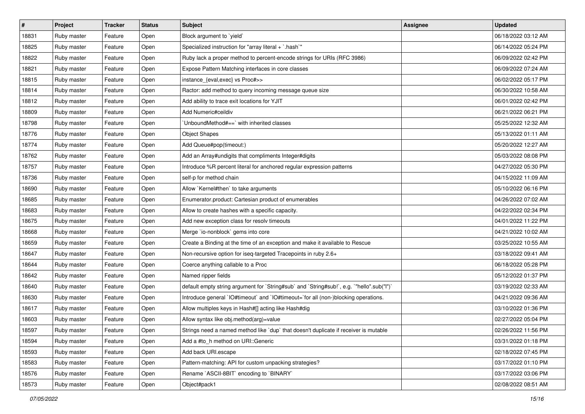| $\pmb{\#}$ | Project     | <b>Tracker</b> | <b>Status</b> | Subject                                                                                   | <b>Assignee</b> | <b>Updated</b>      |
|------------|-------------|----------------|---------------|-------------------------------------------------------------------------------------------|-----------------|---------------------|
| 18831      | Ruby master | Feature        | Open          | Block argument to `yield`                                                                 |                 | 06/18/2022 03:12 AM |
| 18825      | Ruby master | Feature        | Open          | Specialized instruction for "array literal + `.hash`"                                     |                 | 06/14/2022 05:24 PM |
| 18822      | Ruby master | Feature        | Open          | Ruby lack a proper method to percent-encode strings for URIs (RFC 3986)                   |                 | 06/09/2022 02:42 PM |
| 18821      | Ruby master | Feature        | Open          | Expose Pattern Matching interfaces in core classes                                        |                 | 06/09/2022 07:24 AM |
| 18815      | Ruby master | Feature        | Open          | instance_{eval,exec} vs Proc#>>                                                           |                 | 06/02/2022 05:17 PM |
| 18814      | Ruby master | Feature        | Open          | Ractor: add method to query incoming message queue size                                   |                 | 06/30/2022 10:58 AM |
| 18812      | Ruby master | Feature        | Open          | Add ability to trace exit locations for YJIT                                              |                 | 06/01/2022 02:42 PM |
| 18809      | Ruby master | Feature        | Open          | Add Numeric#ceildiv                                                                       |                 | 06/21/2022 06:21 PM |
| 18798      | Ruby master | Feature        | Open          | UnboundMethod#==`with inherited classes                                                   |                 | 05/25/2022 12:32 AM |
| 18776      | Ruby master | Feature        | Open          | <b>Object Shapes</b>                                                                      |                 | 05/13/2022 01:11 AM |
| 18774      | Ruby master | Feature        | Open          | Add Queue#pop(timeout:)                                                                   |                 | 05/20/2022 12:27 AM |
| 18762      | Ruby master | Feature        | Open          | Add an Array#undigits that compliments Integer#digits                                     |                 | 05/03/2022 08:08 PM |
| 18757      | Ruby master | Feature        | Open          | Introduce %R percent literal for anchored regular expression patterns                     |                 | 04/27/2022 05:30 PM |
| 18736      | Ruby master | Feature        | Open          | self-p for method chain                                                                   |                 | 04/15/2022 11:09 AM |
| 18690      | Ruby master | Feature        | Open          | Allow `Kernel#then` to take arguments                                                     |                 | 05/10/2022 06:16 PM |
| 18685      | Ruby master | Feature        | Open          | Enumerator.product: Cartesian product of enumerables                                      |                 | 04/26/2022 07:02 AM |
| 18683      | Ruby master | Feature        | Open          | Allow to create hashes with a specific capacity.                                          |                 | 04/22/2022 02:34 PM |
| 18675      | Ruby master | Feature        | Open          | Add new exception class for resolv timeouts                                               |                 | 04/01/2022 11:22 PM |
| 18668      | Ruby master | Feature        | Open          | Merge `io-nonblock` gems into core                                                        |                 | 04/21/2022 10:02 AM |
| 18659      | Ruby master | Feature        | Open          | Create a Binding at the time of an exception and make it available to Rescue              |                 | 03/25/2022 10:55 AM |
| 18647      | Ruby master | Feature        | Open          | Non-recursive option for iseq-targeted Tracepoints in ruby 2.6+                           |                 | 03/18/2022 09:41 AM |
| 18644      | Ruby master | Feature        | Open          | Coerce anything callable to a Proc                                                        |                 | 06/18/2022 05:28 PM |
| 18642      | Ruby master | Feature        | Open          | Named ripper fields                                                                       |                 | 05/12/2022 01:37 PM |
| 18640      | Ruby master | Feature        | Open          | default empty string argument for `String#sub` and `String#sub!`, e.g. `"hello".sub("I")` |                 | 03/19/2022 02:33 AM |
| 18630      | Ruby master | Feature        | Open          | Introduce general `IO#timeout` and `IO#timeout=`for all (non-)blocking operations.        |                 | 04/21/2022 09:36 AM |
| 18617      | Ruby master | Feature        | Open          | Allow multiples keys in Hash#[] acting like Hash#dig                                      |                 | 03/10/2022 01:36 PM |
| 18603      | Ruby master | Feature        | Open          | Allow syntax like obj.method(arg)=value                                                   |                 | 02/27/2022 05:04 PM |
| 18597      | Ruby master | Feature        | Open          | Strings need a named method like `dup` that doesn't duplicate if receiver is mutable      |                 | 02/26/2022 11:56 PM |
| 18594      | Ruby master | Feature        | Open          | Add a #to h method on URI::Generic                                                        |                 | 03/31/2022 01:18 PM |
| 18593      | Ruby master | Feature        | Open          | Add back URI.escape                                                                       |                 | 02/18/2022 07:45 PM |
| 18583      | Ruby master | Feature        | Open          | Pattern-matching: API for custom unpacking strategies?                                    |                 | 03/17/2022 01:10 PM |
| 18576      | Ruby master | Feature        | Open          | Rename `ASCII-8BIT` encoding to `BINARY`                                                  |                 | 03/17/2022 03:06 PM |
| 18573      | Ruby master | Feature        | Open          | Object#pack1                                                                              |                 | 02/08/2022 08:51 AM |